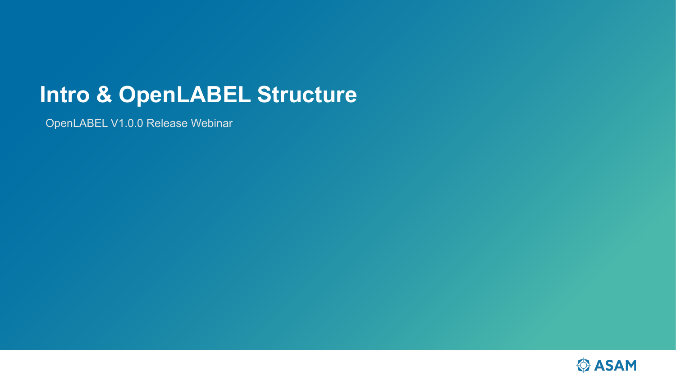# **Intro & OpenLABEL Structure**

OpenLABEL V1.0.0 Release Webinar

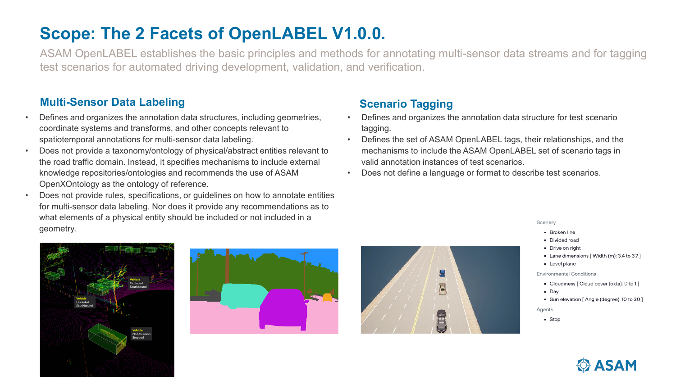## **Scope: The 2 Facets of OpenLABEL V1.0.0.**

ASAM OpenLABEL establishes the basic principles and methods for annotating multi-sensor data streams and for tagging test scenarios for automated driving development, validation, and verification.

## **Multi-Sensor Data Labeling Tagging Scenario Tagging**

- Defines and organizes the annotation data structures, including geometries, coordinate systems and transforms, and other concepts relevant to spatiotemporal annotations for multi-sensor data labeling.
- Does not provide a taxonomy/ontology of physical/abstract entities relevant to the road traffic domain. Instead, it specifies mechanisms to include external knowledge repositories/ontologies and recommends the use of ASAM OpenXOntology as the ontology of reference.
- Does not provide rules, specifications, or guidelines on how to annotate entities for multi-sensor data labeling. Nor does it provide any recommendations as to what elements of a physical entity should be included or not included in a geometry.





- Defines and organizes the annotation data structure for test scenario tagging.
- Defines the set of ASAM OpenLABEL tags, their relationships, and the mechanisms to include the ASAM OpenLABEL set of scenario tags in valid annotation instances of test scenarios.
- Does not define a language or format to describe test scenarios.



### Scenery

- **Broken line**
- Divided road
- Drive on right
- Lane dimensions [ Width (m): 3.4 to 3.7 ]
- Level plane

**Environmental Conditions** 

- Cloudiness [ Cloud cover (okta): 0 to 1]
- $\n **Day**\n$
- Sun elevation [Angle (degree): 10 to 30 ]

Agents

 $-$  Stop

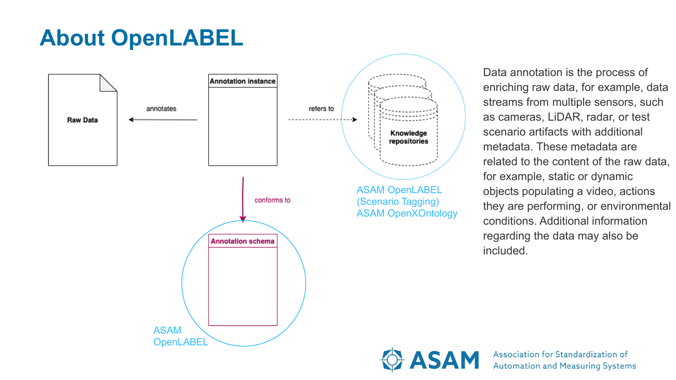# **About OpenLABEL**



Data annotation is the process of enriching raw data, for example, data streams from multiple sensors, such as cameras, LiDAR, radar, or test scenario artifacts with additional metadata. These metadata are related to the content of the raw data, for example, static or dynamic objects populating a video, actions they are performing, or environmental conditions. Additional information regarding the data may also be included.

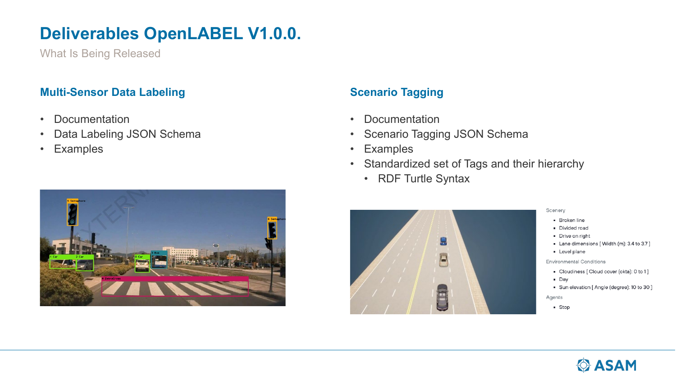## **Deliverables OpenLABEL V1.0.0.**

What Is Being Released

### **Multi-Sensor Data Labeling Tagging Scenario Tagging**

- Documentation
- Data Labeling JSON Schema
- Examples



- Documentation
- Scenario Tagging JSON Schema
- Examples
- Standardized set of Tags and their hierarchy
	- RDF Turtle Syntax



### Scenery

- Broken line
- Divided road
- Drive on right
- Lane dimensions [ Width (m): 3.4 to 3.7 ]
- Level plane

**Environmental Conditions** 

- Cloudiness [ Cloud cover (okta): 0 to 1 ]
- $\blacksquare$  Day
- Sun elevation [Angle (degree): 10 to 30 ]

Agents

• Stop

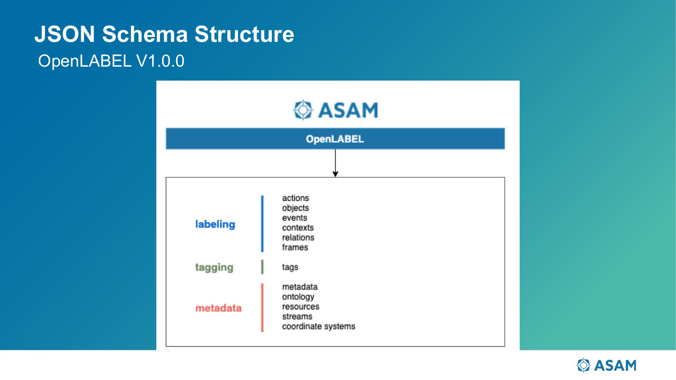# **JSON Schema Structure** OpenLABEL V1.0.0